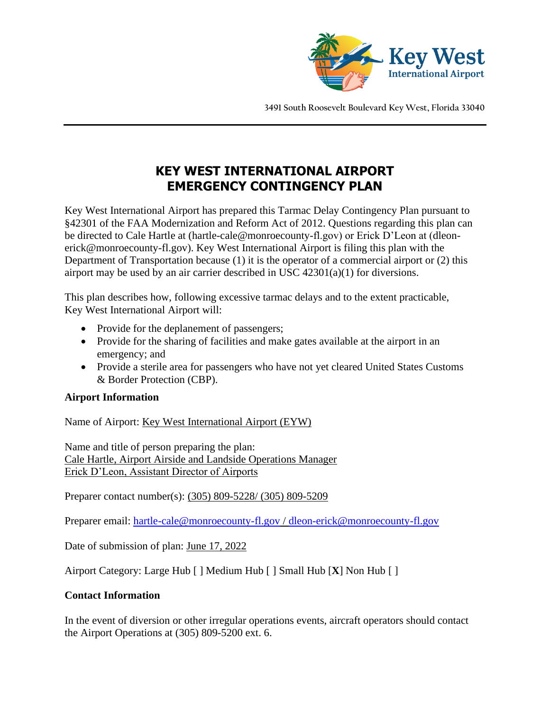

**3491 South Roosevelt Boulevard Key West, Florida 33040**

# **KEY WEST INTERNATIONAL AIRPORT EMERGENCY CONTINGENCY PLAN**

Key West International Airport has prepared this Tarmac Delay Contingency Plan pursuant to §42301 of the FAA Modernization and Reform Act of 2012. Questions regarding this plan can be directed to Cale Hartle at (hartle-cale@monroecounty-fl.gov) or Erick D'Leon at (dleonerick@monroecounty-fl.gov). Key West International Airport is filing this plan with the Department of Transportation because (1) it is the operator of a commercial airport or (2) this airport may be used by an air carrier described in USC 42301(a)(1) for diversions.

This plan describes how, following excessive tarmac delays and to the extent practicable, Key West International Airport will:

- Provide for the deplanement of passengers;
- Provide for the sharing of facilities and make gates available at the airport in an emergency; and
- Provide a sterile area for passengers who have not yet cleared United States Customs & Border Protection (CBP).

# **Airport Information**

Name of Airport: Key West International Airport (EYW)

Name and title of person preparing the plan: Cale Hartle, Airport Airside and Landside Operations Manager Erick D'Leon, Assistant Director of Airports

Preparer contact number(s): (305) 809-5228/ (305) 809-5209

Preparer email: [hartle-cale@monroecounty-fl.gov](mailto:hartle-cale@monroecounty-fl.gov) / [dleon-erick@monroecounty-fl.gov](mailto:dleon-erick@monroecounty-fl.gov) 

Date of submission of plan: June 17, 2022

Airport Category: Large Hub [ ] Medium Hub [ ] Small Hub [**X**] Non Hub [ ]

### **Contact Information**

In the event of diversion or other irregular operations events, aircraft operators should contact the Airport Operations at (305) 809-5200 ext. 6.